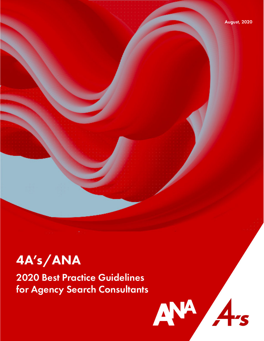# 4A's/ANA

2020 Best Practice Guidelines for Agency Search Consultants

ANA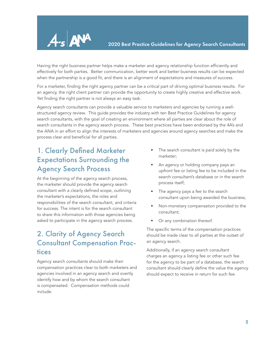

Having the right business partner helps make a marketer and agency relationship function efficiently and effectively for both parties. Better communication, better work and better business results can be expected when the partnership is a good fit, and there is an alignment of expectations and measures of success.

For a marketer, finding the right agency partner can be a critical part of driving optimal business results. For an agency, the right client partner can provide the opportunity to create highly creative and effective work. Yet finding the right partner is not always an easy task.

Agency search consultants can provide a valuable service to marketers and agencies by running a wellstructured agency review. This guide provides the industry with ten Best Practice Guidelines for agency search consultants, with the goal of creating an environment where all parties are clear about the role of search consultants in the agency search process. These best practices have been endorsed by the 4A's and the ANA in an effort to align the interests of marketers and agencies around agency searches and make the process clear and beneficial for all parties.

## 1. Clearly Defined Marketer Expectations Surrounding the Agency Search Process

At the beginning of the agency search process, the marketer should provide the agency search consultant with a clearly defined scope, outlining the marketer's expectations, the roles and responsibilities of the search consultant, and criteria for success. The intent is for the search consultant to share this information with those agencies being asked to participate in the agency search process.

## 2. Clarity of Agency Search Consultant Compensation Practices

Agency search consultants should make their compensation practices clear to both marketers and agencies involved in an agency search and overtly identify how and by whom the search consultant is compensated. Compensation methods could include:

- The search consultant is paid solely by the marketer;
- An agency or holding company pays an upfront fee or listing fee to be included in the search consultant's database or in the search process itself;
- The agency pays a fee to the search consultant upon being awarded the business;
- Non-monetary compensation provided to the consultant;
- Or any combination thereof.

The specific terms of the compensation practices should be made clear to all parties at the outset of an agency search.

Additionally, if an agency search consultant charges an agency a listing fee or other such fee for the agency to be part of a database, the search consultant should clearly define the value the agency should expect to receive in return for such fee.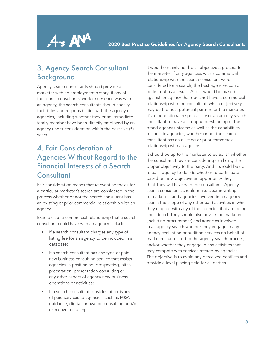#### 3. Agency Search Consultant Background

 $A<\Delta$ 

Agency search consultants should provide a marketer with an employment history; if any of the search consultants' work experience was with an agency, the search consultants should specify their titles and responsibilities with the agency or agencies, including whether they or an immediate family member have been directly employed by an agency under consideration within the past five (5) years.

## 4. Fair Consideration of Agencies Without Regard to the Financial Interests of a Search Consultant

Fair consideration means that relevant agencies for a particular marketer's search are considered in the process whether or not the search consultant has an existing or prior commercial relationship with an agency.

Examples of a commercial relationship that a search consultant could have with an agency include:

- If a search consultant charges any type of listing fee for an agency to be included in a database;
- If a search consultant has any type of paid new business consulting service that assists agencies in positioning, prospecting, pitch preparation, presentation consulting or any other aspect of agency new business operations or activities;
- If a search consultant provides other types of paid services to agencies, such as M&A guidance, digital innovation consulting and/or executive recruiting.

It would certainly not be as objective a process for the marketer if only agencies with a commercial relationship with the search consultant were considered for a search; the best agencies could be left out as a result. And it would be biased against an agency that does not have a commercial relationship with the consultant, which objectively may be the best potential partner for the marketer. It's a foundational responsibility of an agency search consultant to have a strong understanding of the broad agency universe as well as the capabilities of specific agencies, whether or not the search consultant has an existing or prior commercial relationship with an agency.

It should be up to the marketer to establish whether the consultant they are considering can bring the proper objectivity to the party. And it should be up to each agency to decide whether to participate based on how objective an opportunity they think they will have with the consultant. Agency search consultants should make clear in writing to marketers and agencies involved in an agency search the scope of any other paid activities in which they engage with any of the agencies that are being considered. They should also advise the marketers (including procurement) and agencies involved in an agency search whether they engage in any agency evaluation or auditing services on behalf of marketers, unrelated to the agency search process, and/or whether they engage in any activities that may compete with services offered by agencies. The objective is to avoid any perceived conflicts and provide a level playing field for all parties.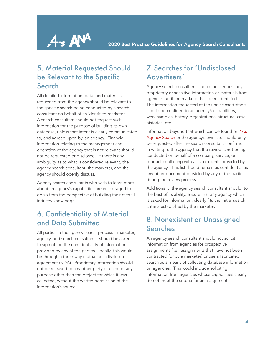

## 5. Material Requested Should be Relevant to the Specific Search

All detailed information, data, and materials requested from the agency should be relevant to the specific search being conducted by a search consultant on behalf of an identified marketer. A search consultant should not request such information for the purpose of building its own database, unless that intent is clearly communicated to, and agreed upon by, an agency. Financial information relating to the management and operation of the agency that is not relevant should not be requested or disclosed. If there is any ambiguity as to what is considered relevant, the agency search consultant, the marketer, and the agency should openly discuss.

Agency search consultants who wish to learn more about an agency's capabilities are encouraged to do so from the perspective of building their overall industry knowledge.

## 6. Confidentiality of Material and Data Submitted

All parties in the agency search process – marketer, agency, and search consultant – should be asked to sign off on the confidentiality of information provided by any of the parties. Ideally, this would be through a three-way mutual non-disclosure agreement (NDA). Proprietary information should not be released to any other party or used for any purpose other than the project for which it was collected, without the written permission of the information's source.

#### 7. Searches for 'Undisclosed Advertisers'

Agency search consultants should not request any proprietary or sensitive information or materials from agencies until the marketer has been identified. The information requested at the undisclosed stage should be confined to an agency's capabilities, work samples, history, organizational structure, case histories, etc.

Information beyond that which can be found on [4A's](https://ams.aaaa.org/eweb/contentwp.aspx?webcode=findagency)  [Agency Search](https://ams.aaaa.org/eweb/contentwp.aspx?webcode=findagency) or the agency's own site should only be requested after the search consultant confirms in writing to the agency that the review is not being conducted on behalf of a company, service, or product conflicting with a list of clients provided by the agency. This list should remain as confidential as any other document provided by any of the parties during the review process.

Additionally, the agency search consultant should, to the best of its ability, ensure that any agency which is asked for information, clearly fits the initial search criteria established by the marketer.

#### 8. Nonexistent or Unassigned Searches

An agency search consultant should not solicit information from agencies for prospective assignments (i.e., assignments that have not been contracted for by a marketer) or use a fabricated search as a means of collecting database information on agencies. This would include soliciting information from agencies whose capabilities clearly do not meet the criteria for an assignment.